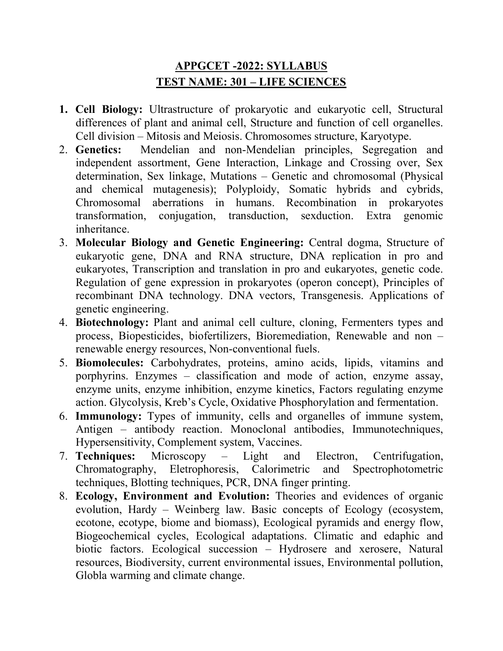## APPGCET -2022: SYLLABUS TEST NAME: 301 – LIFE SCIENCES

- 1. Cell Biology: Ultrastructure of prokaryotic and eukaryotic cell, Structural differences of plant and animal cell, Structure and function of cell organelles. Cell division – Mitosis and Meiosis. Chromosomes structure, Karyotype.
- 2. Genetics: Mendelian and non-Mendelian principles, Segregation and independent assortment, Gene Interaction, Linkage and Crossing over, Sex determination, Sex linkage, Mutations – Genetic and chromosomal (Physical and chemical mutagenesis); Polyploidy, Somatic hybrids and cybrids, Chromosomal aberrations in humans. Recombination in prokaryotes transformation, conjugation, transduction, sexduction. Extra genomic inheritance.
- 3. Molecular Biology and Genetic Engineering: Central dogma, Structure of eukaryotic gene, DNA and RNA structure, DNA replication in pro and eukaryotes, Transcription and translation in pro and eukaryotes, genetic code. Regulation of gene expression in prokaryotes (operon concept), Principles of recombinant DNA technology. DNA vectors, Transgenesis. Applications of genetic engineering.
- 4. Biotechnology: Plant and animal cell culture, cloning, Fermenters types and process, Biopesticides, biofertilizers, Bioremediation, Renewable and non – renewable energy resources, Non-conventional fuels.
- 5. Biomolecules: Carbohydrates, proteins, amino acids, lipids, vitamins and porphyrins. Enzymes – classification and mode of action, enzyme assay, enzyme units, enzyme inhibition, enzyme kinetics, Factors regulating enzyme action. Glycolysis, Kreb's Cycle, Oxidative Phosphorylation and fermentation.
- 6. Immunology: Types of immunity, cells and organelles of immune system, Antigen – antibody reaction. Monoclonal antibodies, Immunotechniques, Hypersensitivity, Complement system, Vaccines.
- 7. Techniques: Microscopy Light and Electron, Centrifugation, Chromatography, Eletrophoresis, Calorimetric and Spectrophotometric techniques, Blotting techniques, PCR, DNA finger printing.
- 8. Ecology, Environment and Evolution: Theories and evidences of organic evolution, Hardy – Weinberg law. Basic concepts of Ecology (ecosystem, ecotone, ecotype, biome and biomass), Ecological pyramids and energy flow, Biogeochemical cycles, Ecological adaptations. Climatic and edaphic and biotic factors. Ecological succession – Hydrosere and xerosere, Natural resources, Biodiversity, current environmental issues, Environmental pollution, Globla warming and climate change.